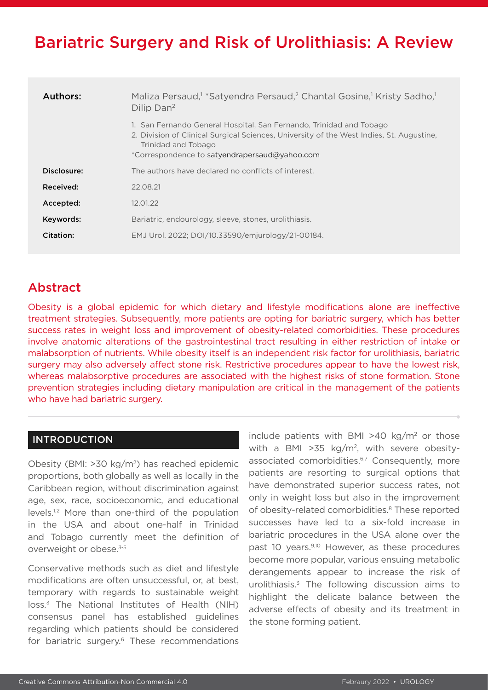# Bariatric Surgery and Risk of Urolithiasis: A Review

| Authors:    | Maliza Persaud, <sup>1</sup> *Satyendra Persaud, <sup>2</sup> Chantal Gosine, <sup>1</sup> Kristy Sadho, <sup>1</sup><br>Dilip Dan <sup>2</sup>                                                                                         |
|-------------|-----------------------------------------------------------------------------------------------------------------------------------------------------------------------------------------------------------------------------------------|
|             | 1. San Fernando General Hospital, San Fernando, Trinidad and Tobago<br>2. Division of Clinical Surgical Sciences, University of the West Indies, St. Augustine,<br>Trinidad and Tobago<br>*Correspondence to satyendrapersaud@yahoo.com |
| Disclosure: | The authors have declared no conflicts of interest.                                                                                                                                                                                     |
| Received:   | 22.08.21                                                                                                                                                                                                                                |
| Accepted:   | 12.01.22                                                                                                                                                                                                                                |
| Keywords:   | Bariatric, endourology, sleeve, stones, urolithiasis.                                                                                                                                                                                   |
| Citation:   | EMJ Urol. 2022; DOI/10.33590/emjurology/21-00184.                                                                                                                                                                                       |

## Abstract

Obesity is a global epidemic for which dietary and lifestyle modifications alone are ineffective treatment strategies. Subsequently, more patients are opting for bariatric surgery, which has better success rates in weight loss and improvement of obesity-related comorbidities. These procedures involve anatomic alterations of the gastrointestinal tract resulting in either restriction of intake or malabsorption of nutrients. While obesity itself is an independent risk factor for urolithiasis, bariatric surgery may also adversely affect stone risk. Restrictive procedures appear to have the lowest risk, whereas malabsorptive procedures are associated with the highest risks of stone formation. Stone prevention strategies including dietary manipulation are critical in the management of the patients who have had bariatric surgery.

### INTRODUCTION

Obesity (BMI: >30 kg/m2) has reached epidemic proportions, both globally as well as locally in the Caribbean region, without discrimination against age, sex, race, socioeconomic, and educational levels.1,2 More than one-third of the population in the USA and about one-half in Trinidad and Tobago currently meet the definition of overweight or obese.<sup>3-5</sup>

Conservative methods such as diet and lifestyle modifications are often unsuccessful, or, at best, temporary with regards to sustainable weight loss.3 The National Institutes of Health (NIH) consensus panel has established guidelines regarding which patients should be considered for bariatric surgery.<sup>6</sup> These recommendations

include patients with BMI  $>40$  kg/m<sup>2</sup> or those with a BMI >35 kg/m<sup>2</sup>, with severe obesityassociated comorbidities.<sup>6,7</sup> Consequently, more patients are resorting to surgical options that have demonstrated superior success rates, not only in weight loss but also in the improvement of obesity-related comorbidities.<sup>8</sup> These reported successes have led to a six-fold increase in bariatric procedures in the USA alone over the past 10 years.<sup>9,10</sup> However, as these procedures become more popular, various ensuing metabolic derangements appear to increase the risk of urolithiasis.3 The following discussion aims to highlight the delicate balance between the adverse effects of obesity and its treatment in the stone forming patient.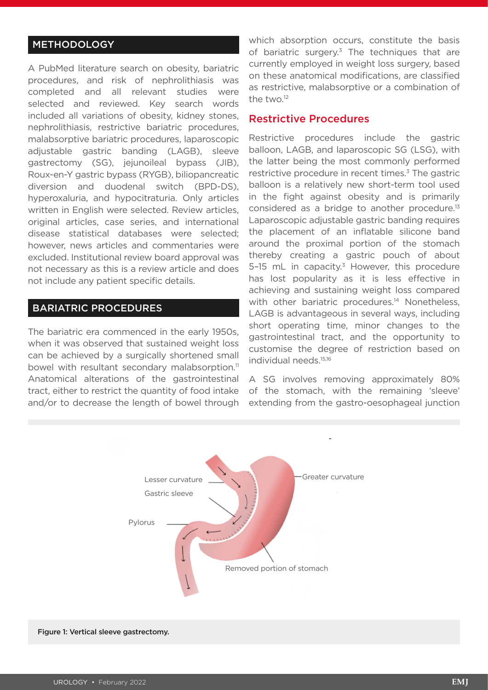### **METHODOLOGY**

A PubMed literature search on obesity, bariatric procedures, and risk of nephrolithiasis was completed and all relevant studies were selected and reviewed. Key search words included all variations of obesity, kidney stones, nephrolithiasis, restrictive bariatric procedures, malabsorptive bariatric procedures, laparoscopic adjustable gastric banding (LAGB), sleeve gastrectomy (SG), jejunoileal bypass (JIB), Roux-en-Y gastric bypass (RYGB), biliopancreatic diversion and duodenal switch (BPD-DS), hyperoxaluria, and hypocitraturia. Only articles written in English were selected. Review articles, original articles, case series, and international disease statistical databases were selected; however, news articles and commentaries were excluded. Institutional review board approval was not necessary as this is a review article and does not include any patient specific details.

#### BARIATRIC PROCEDURES

The bariatric era commenced in the early 1950s, when it was observed that sustained weight loss can be achieved by a surgically shortened small bowel with resultant secondary malabsorption.<sup>11</sup> Anatomical alterations of the gastrointestinal tract, either to restrict the quantity of food intake and/or to decrease the length of bowel through which absorption occurs, constitute the basis of bariatric surgery.<sup>3</sup> The techniques that are currently employed in weight loss surgery, based on these anatomical modifications, are classified as restrictive, malabsorptive or a combination of the two.12

#### Restrictive Procedures

Restrictive procedures include the gastric balloon, LAGB, and laparoscopic SG (LSG), with the latter being the most commonly performed restrictive procedure in recent times.<sup>3</sup> The gastric balloon is a relatively new short-term tool used in the fight against obesity and is primarily considered as a bridge to another procedure.13 Laparoscopic adjustable gastric banding requires the placement of an inflatable silicone band around the proximal portion of the stomach thereby creating a gastric pouch of about 5-15 mL in capacity.<sup>3</sup> However, this procedure has lost popularity as it is less effective in achieving and sustaining weight loss compared with other bariatric procedures.<sup>14</sup> Nonetheless, LAGB is advantageous in several ways, including short operating time, minor changes to the gastrointestinal tract, and the opportunity to customise the degree of restriction based on individual needs.15,16

A SG involves removing approximately 80% of the stomach, with the remaining 'sleeve' extending from the gastro-oesophageal junction

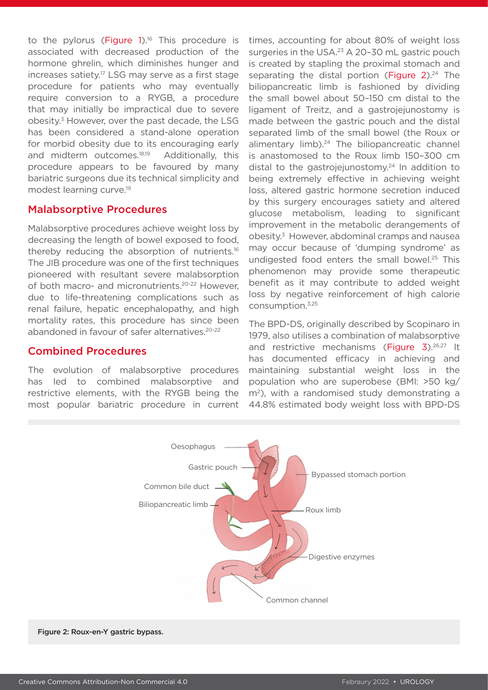to the pylorus (Figure  $1$ ).<sup>16</sup> This procedure is associated with decreased production of the hormone ghrelin, which diminishes hunger and increases satiety.17 LSG may serve as a first stage procedure for patients who may eventually require conversion to a RYGB, a procedure that may initially be impractical due to severe obesity.3 However, over the past decade, the LSG has been considered a stand-alone operation for morbid obesity due to its encouraging early and midterm outcomes.<sup>18,19</sup> Additionally, this procedure appears to be favoured by many bariatric surgeons due its technical simplicity and modest learning curve.19

### Malabsorptive Procedures

Malabsorptive procedures achieve weight loss by decreasing the length of bowel exposed to food, thereby reducing the absorption of nutrients.<sup>16</sup> The JIB procedure was one of the first techniques pioneered with resultant severe malabsorption of both macro- and micronutrients.20-22 However, due to life-threatening complications such as renal failure, hepatic encephalopathy, and high mortality rates, this procedure has since been abandoned in favour of safer alternatives.<sup>20-22</sup>

### Combined Procedures

The evolution of malabsorptive procedures has led to combined malabsorptive and restrictive elements, with the RYGB being the most popular bariatric procedure in current times, accounting for about 80% of weight loss surgeries in the USA.<sup>23</sup> A 20-30 mL gastric pouch is created by stapling the proximal stomach and separating the distal portion (Figure  $2^{24}$  The biliopancreatic limb is fashioned by dividing the small bowel about 50–150 cm distal to the ligament of Treitz, and a gastrojejunostomy is made between the gastric pouch and the distal separated limb of the small bowel (the Roux or alimentary limb).<sup>24</sup> The biliopancreatic channel is anastomosed to the Roux limb 150–300 cm distal to the gastroiejunostomy.<sup>24</sup> In addition to being extremely effective in achieving weight loss, altered gastric hormone secretion induced by this surgery encourages satiety and altered glucose metabolism, leading to significant improvement in the metabolic derangements of obesity.3 However, abdominal cramps and nausea may occur because of 'dumping syndrome' as undigested food enters the small bowel.<sup>25</sup> This phenomenon may provide some therapeutic benefit as it may contribute to added weight loss by negative reinforcement of high calorie consumption.3,25

The BPD-DS, originally described by Scopinaro in 1979, also utilises a combination of malabsorptive and restrictive mechanisms (Figure 3).<sup>26,27</sup> It has documented efficacy in achieving and maintaining substantial weight loss in the population who are superobese (BMI: >50 kg/ m2), with a randomised study demonstrating a 44.8% estimated body weight loss with BPD-DS



Figure 2: Roux-en-Y gastric bypass.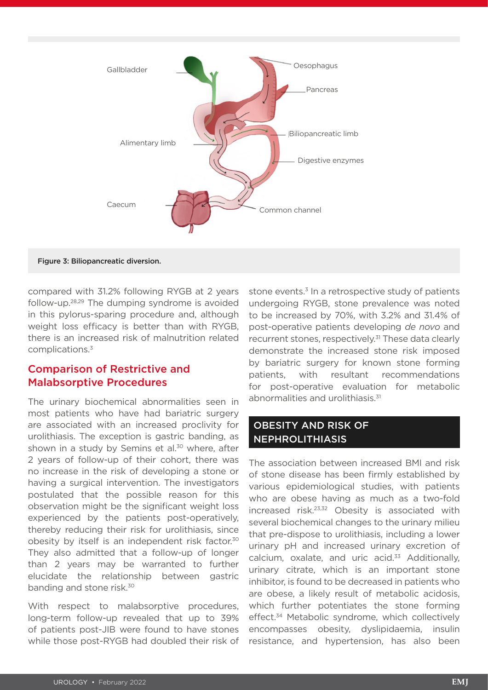

Figure 3: Biliopancreatic diversion.

compared with 31.2% following RYGB at 2 years follow-up.28,29 The dumping syndrome is avoided in this pylorus-sparing procedure and, although weight loss efficacy is better than with RYGB, there is an increased risk of malnutrition related complications.3

### Comparison of Restrictive and Malabsorptive Procedures

The urinary biochemical abnormalities seen in most patients who have had bariatric surgery are associated with an increased proclivity for urolithiasis. The exception is gastric banding, as shown in a study by Semins et al. $30$  where, after 2 years of follow-up of their cohort, there was no increase in the risk of developing a stone or having a surgical intervention. The investigators postulated that the possible reason for this observation might be the significant weight loss experienced by the patients post-operatively, thereby reducing their risk for urolithiasis, since obesity by itself is an independent risk factor.30 They also admitted that a follow-up of longer than 2 years may be warranted to further elucidate the relationship between gastric banding and stone risk.<sup>30</sup>

With respect to malabsorptive procedures, long-term follow-up revealed that up to 39% of patients post-JIB were found to have stones while those post-RYGB had doubled their risk of stone events.<sup>3</sup> In a retrospective study of patients undergoing RYGB, stone prevalence was noted to be increased by 70%, with 3.2% and 31.4% of post-operative patients developing *de novo* and recurrent stones, respectively.<sup>31</sup> These data clearly demonstrate the increased stone risk imposed by bariatric surgery for known stone forming patients, with resultant recommendations for post-operative evaluation for metabolic abnormalities and urolithiasis.<sup>31</sup>

### OBESITY AND RISK OF NEPHROLITHIASIS

The association between increased BMI and risk of stone disease has been firmly established by various epidemiological studies, with patients who are obese having as much as a two-fold increased risk.23,32 Obesity is associated with several biochemical changes to the urinary milieu that pre-dispose to urolithiasis, including a lower urinary pH and increased urinary excretion of calcium, oxalate, and uric acid.<sup>33</sup> Additionally, urinary citrate, which is an important stone inhibitor, is found to be decreased in patients who are obese, a likely result of metabolic acidosis, which further potentiates the stone forming effect.<sup>34</sup> Metabolic syndrome, which collectively encompasses obesity, dyslipidaemia, insulin resistance, and hypertension, has also been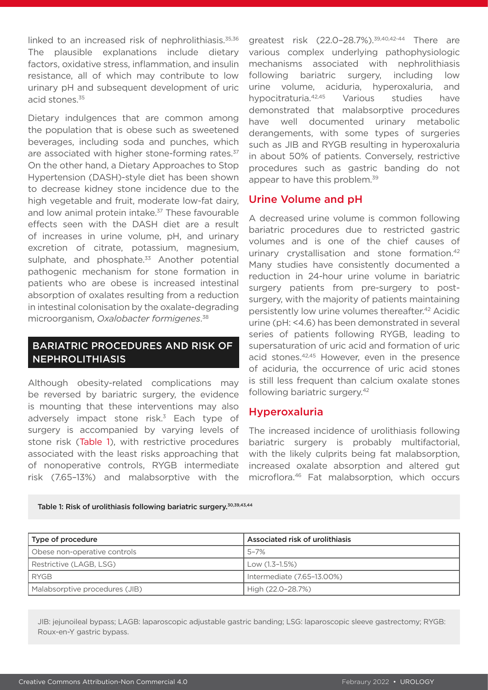linked to an increased risk of nephrolithiasis.<sup>35,36</sup> The plausible explanations include dietary factors, oxidative stress, inflammation, and insulin resistance, all of which may contribute to low urinary pH and subsequent development of uric acid stones.<sup>35</sup>

Dietary indulgences that are common among the population that is obese such as sweetened beverages, including soda and punches, which are associated with higher stone-forming rates.<sup>37</sup> On the other hand, a Dietary Approaches to Stop Hypertension (DASH)-style diet has been shown to decrease kidney stone incidence due to the high vegetable and fruit, moderate low-fat dairy, and low animal protein intake.<sup>37</sup> These favourable effects seen with the DASH diet are a result of increases in urine volume, pH, and urinary excretion of citrate, potassium, magnesium, sulphate, and phosphate. $33$  Another potential pathogenic mechanism for stone formation in patients who are obese is increased intestinal absorption of oxalates resulting from a reduction in intestinal colonisation by the oxalate-degrading microorganism, *Oxalobacter formigenes*. 38

### BARIATRIC PROCEDURES AND RISK OF NEPHROLITHIASIS

Although obesity-related complications may be reversed by bariatric surgery, the evidence is mounting that these interventions may also adversely impact stone risk.<sup>3</sup> Each type of surgery is accompanied by varying levels of stone risk (Table 1), with restrictive procedures associated with the least risks approaching that of nonoperative controls, RYGB intermediate risk (7.65–13%) and malabsorptive with the

greatest risk (22.0-28.7%).<sup>39,40,42-44</sup> There are various complex underlying pathophysiologic mechanisms associated with nephrolithiasis following bariatric surgery, including low urine volume, aciduria, hyperoxaluria, and hypocitraturia.42,45 Various studies have demonstrated that malabsorptive procedures have well documented urinary metabolic derangements, with some types of surgeries such as JIB and RYGB resulting in hyperoxaluria in about 50% of patients. Conversely, restrictive procedures such as gastric banding do not appear to have this problem.<sup>39</sup>

### Urine Volume and pH

A decreased urine volume is common following bariatric procedures due to restricted gastric volumes and is one of the chief causes of urinary crystallisation and stone formation.42 Many studies have consistently documented a reduction in 24-hour urine volume in bariatric surgery patients from pre-surgery to postsurgery, with the majority of patients maintaining persistently low urine volumes thereafter.42 Acidic urine (pH: <4.6) has been demonstrated in several series of patients following RYGB, leading to supersaturation of uric acid and formation of uric acid stones.42,45 However, even in the presence of aciduria, the occurrence of uric acid stones is still less frequent than calcium oxalate stones following bariatric surgery.<sup>42</sup>

### Hyperoxaluria

The increased incidence of urolithiasis following bariatric surgery is probably multifactorial, with the likely culprits being fat malabsorption, increased oxalate absorption and altered gut microflora.46 Fat malabsorption, which occurs

Table 1: Risk of urolithiasis following bariatric surgery.<sup>30,39,43,44</sup>

| Type of procedure              | Associated risk of urolithiasis |
|--------------------------------|---------------------------------|
| Obese non-operative controls   | 5-7%                            |
| Restrictive (LAGB, LSG)        | Low (1.3–1.5%)                  |
| <b>RYGB</b>                    | Intermediate (7.65-13.00%)      |
| Malabsorptive procedures (JIB) | High (22.0-28.7%)               |

JIB: jejunoileal bypass; LAGB: laparoscopic adjustable gastric banding; LSG: laparoscopic sleeve gastrectomy; RYGB: Roux-en-Y gastric bypass.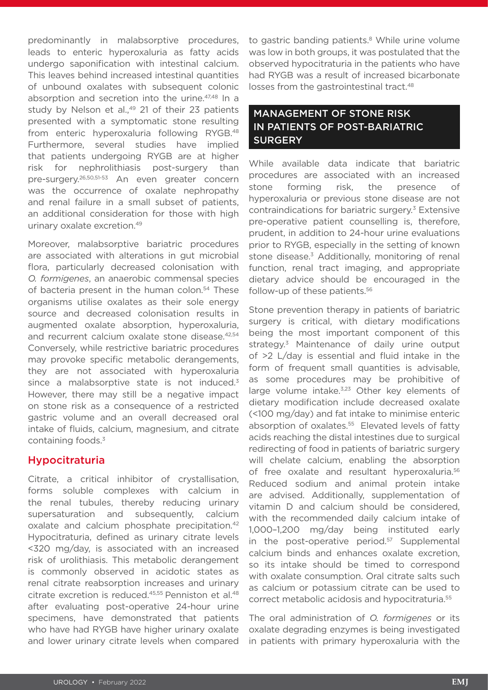predominantly in malabsorptive procedures, leads to enteric hyperoxaluria as fatty acids undergo saponification with intestinal calcium. This leaves behind increased intestinal quantities of unbound oxalates with subsequent colonic absorption and secretion into the urine.<sup>47,48</sup> In a study by Nelson et al.,<sup>49</sup> 21 of their 23 patients presented with a symptomatic stone resulting from enteric hyperoxaluria following RYGB.48 Furthermore, several studies have implied that patients undergoing RYGB are at higher risk for nephrolithiasis post-surgery than pre-surgery.26,50,51-53 An even greater concern was the occurrence of oxalate nephropathy and renal failure in a small subset of patients, an additional consideration for those with high urinary oxalate excretion.49

Moreover, malabsorptive bariatric procedures are associated with alterations in gut microbial flora, particularly decreased colonisation with *O. formigenes*, an anaerobic commensal species of bacteria present in the human colon.<sup>54</sup> These organisms utilise oxalates as their sole energy source and decreased colonisation results in augmented oxalate absorption, hyperoxaluria, and recurrent calcium oxalate stone disease.<sup>42,54</sup> Conversely, while restrictive bariatric procedures may provoke specific metabolic derangements, they are not associated with hyperoxaluria since a malabsorptive state is not induced.<sup>3</sup> However, there may still be a negative impact on stone risk as a consequence of a restricted gastric volume and an overall decreased oral intake of fluids, calcium, magnesium, and citrate containing foods.3

### Hypocitraturia

Citrate, a critical inhibitor of crystallisation, forms soluble complexes with calcium in the renal tubules, thereby reducing urinary supersaturation and subsequently, calcium oxalate and calcium phosphate precipitation.42 Hypocitraturia, defined as urinary citrate levels <320 mg/day, is associated with an increased risk of urolithiasis. This metabolic derangement is commonly observed in acidotic states as renal citrate reabsorption increases and urinary citrate excretion is reduced.<sup>45,55</sup> Penniston et al.<sup>48</sup> after evaluating post-operative 24-hour urine specimens, have demonstrated that patients who have had RYGB have higher urinary oxalate and lower urinary citrate levels when compared

to gastric banding patients.<sup>8</sup> While urine volume was low in both groups, it was postulated that the observed hypocitraturia in the patients who have had RYGB was a result of increased bicarbonate losses from the gastrointestinal tract.<sup>48</sup>

### MANAGEMENT OF STONE RISK IN PATIENTS OF POST-BARIATRIC **SURGERY**

While available data indicate that bariatric procedures are associated with an increased stone forming risk, the presence of hyperoxaluria or previous stone disease are not contraindications for bariatric surgery.<sup>3</sup> Extensive pre-operative patient counselling is, therefore, prudent, in addition to 24-hour urine evaluations prior to RYGB, especially in the setting of known stone disease.<sup>3</sup> Additionally, monitoring of renal function, renal tract imaging, and appropriate dietary advice should be encouraged in the follow-up of these patients.<sup>56</sup>

Stone prevention therapy in patients of bariatric surgery is critical, with dietary modifications being the most important component of this strategy.<sup>3</sup> Maintenance of daily urine output of >2 L/day is essential and fluid intake in the form of frequent small quantities is advisable, as some procedures may be prohibitive of large volume intake.<sup>3,23</sup> Other key elements of dietary modification include decreased oxalate (<100 mg/day) and fat intake to minimise enteric absorption of oxalates.<sup>55</sup> Elevated levels of fatty acids reaching the distal intestines due to surgical redirecting of food in patients of bariatric surgery will chelate calcium, enabling the absorption of free oxalate and resultant hyperoxaluria.<sup>56</sup> Reduced sodium and animal protein intake are advised. Additionally, supplementation of vitamin D and calcium should be considered, with the recommended daily calcium intake of 1,000–1,200 mg/day being instituted early in the post-operative period.<sup>57</sup> Supplemental calcium binds and enhances oxalate excretion, so its intake should be timed to correspond with oxalate consumption. Oral citrate salts such as calcium or potassium citrate can be used to correct metabolic acidosis and hypocitraturia.55

The oral administration of *O. formigenes* or its oxalate degrading enzymes is being investigated in patients with primary hyperoxaluria with the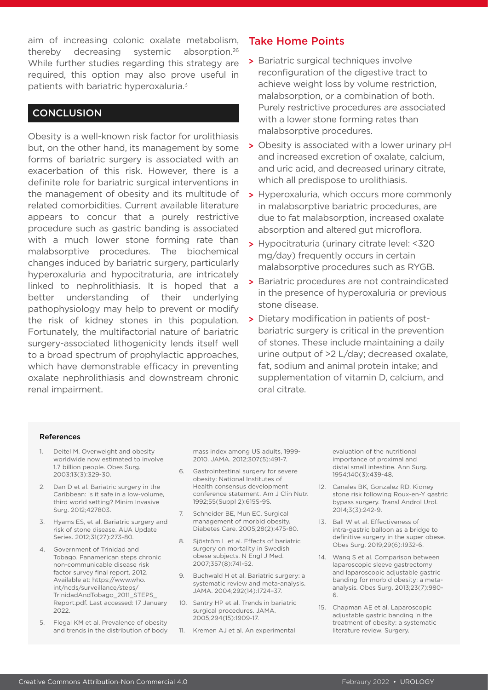aim of increasing colonic oxalate metabolism, thereby decreasing systemic absorption.26 While further studies regarding this strategy are required, this option may also prove useful in patients with bariatric hyperoxaluria.3

### **CONCLUSION**

Obesity is a well-known risk factor for urolithiasis but, on the other hand, its management by some forms of bariatric surgery is associated with an exacerbation of this risk. However, there is a definite role for bariatric surgical interventions in the management of obesity and its multitude of related comorbidities. Current available literature appears to concur that a purely restrictive procedure such as gastric banding is associated with a much lower stone forming rate than malabsorptive procedures. The biochemical changes induced by bariatric surgery, particularly hyperoxaluria and hypocitraturia, are intricately linked to nephrolithiasis. It is hoped that a better understanding of their underlying pathophysiology may help to prevent or modify the risk of kidney stones in this population. Fortunately, the multifactorial nature of bariatric surgery-associated lithogenicity lends itself well to a broad spectrum of prophylactic approaches, which have demonstrable efficacy in preventing oxalate nephrolithiasis and downstream chronic renal impairment.

### Take Home Points

- **>** Bariatric surgical techniques involve reconfiguration of the digestive tract to achieve weight loss by volume restriction, malabsorption, or a combination of both. Purely restrictive procedures are associated with a lower stone forming rates than malabsorptive procedures.
- **>** Obesity is associated with a lower urinary pH and increased excretion of oxalate, calcium, and uric acid, and decreased urinary citrate, which all predispose to urolithiasis.
- **>** Hyperoxaluria, which occurs more commonly in malabsorptive bariatric procedures, are due to fat malabsorption, increased oxalate absorption and altered gut microflora.
- **>** Hypocitraturia (urinary citrate level: <320 mg/day) frequently occurs in certain malabsorptive procedures such as RYGB.
- **>** Bariatric procedures are not contraindicated in the presence of hyperoxaluria or previous stone disease.
- **>** Dietary modification in patients of postbariatric surgery is critical in the prevention of stones. These include maintaining a daily urine output of >2 L/day; decreased oxalate, fat, sodium and animal protein intake; and supplementation of vitamin D, calcium, and oral citrate.

#### **References**

- 1. Deitel M. Overweight and obesity worldwide now estimated to involve 1.7 billion people. Obes Surg. 2003;13(3):329-30.
- 2. Dan D et al. Bariatric surgery in the Caribbean: is it safe in a low-volume, third world setting? Minim Invasive Surg. 2012;427803.
- 3. Hyams ES, et al. Bariatric surgery and risk of stone disease. AUA Update Series. 2012;31(27):273-80.
- 4. Government of Trinidad and Tobago. Panamerican steps chronic non-communicable disease risk factor survey final report. 2012. Available at: https://www.who. int/ncds/surveillance/steps/ TrinidadAndTobago\_2011\_STEPS\_ Report.pdf. Last accessed: 17 January 2022.
- 5. Flegal KM et al. Prevalence of obesity and trends in the distribution of body

mass index among US adults, 1999- 2010. JAMA. 2012;307(5):491-7.

- 6. Gastrointestinal surgery for severe obesity: National Institutes of Health consensus development conference statement. Am J Clin Nutr. 1992;55(Suppl 2):615S-9S.
- 7. Schneider BE, Mun EC. Surgical management of morbid obesity. Diabetes Care. 2005;28(2):475-80.
- 8. Sjöström L et al. Effects of bariatric surgery on mortality in Swedish obese subjects. N Engl J Med. 2007;357(8):741-52.
- 9. Buchwald H et al. Bariatric surgery: a systematic review and meta-analysis. JAMA. 2004;292(14):1724–37.
- 10. Santry HP et al. Trends in bariatric surgical procedures. JAMA. 2005;294(15):1909-17.
- 11. Kremen AJ et al. An experimental

evaluation of the nutritional importance of proximal and distal small intestine. Ann Surg. 1954;140(3):439-48.

- 12. Canales BK, Gonzalez RD. Kidney stone risk following Roux-en-Y gastric bypass surgery. Transl Androl Urol. 2014;3(3):242-9.
- 13. Ball W et al. Effectiveness of intra-gastric balloon as a bridge to definitive surgery in the super obese. Obes Surg. 2019;29(6):1932-6.
- 14. Wang S et al. Comparison between laparoscopic sleeve gastrectomy and laparoscopic adjustable gastric banding for morbid obesity: a metaanalysis. Obes Surg. 2013;23(7):980- 6.
- 15. Chapman AE et al. Laparoscopic adjustable gastric banding in the treatment of obesity: a systematic literature review. Surgery.